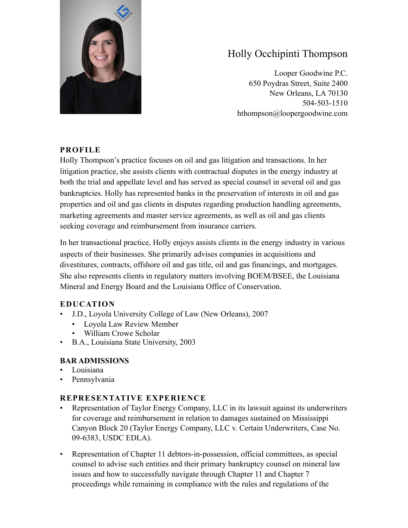

# Holly Occhipinti Thompson

Looper Goodwine P.C. 650 Poydras Street, Suite 2400 New Orleans, LA 70130 504-503-1510 hthompson@loopergoodwine.com

#### **PROFILE**

Holly Thompson's practice focuses on oil and gas litigation and transactions. In her litigation practice, she assists clients with contractual disputes in the energy industry at both the trial and appellate level and has served as special counsel in several oil and gas bankruptcies. Holly has represented banks in the preservation of interests in oil and gas properties and oil and gas clients in disputes regarding production handling agreements, marketing agreements and master service agreements, as well as oil and gas clients seeking coverage and reimbursement from insurance carriers.

In her transactional practice, Holly enjoys assists clients in the energy industry in various aspects of their businesses. She primarily advises companies in acquisitions and divestitures, contracts, offshore oil and gas title, oil and gas financings, and mortgages. She also represents clients in regulatory matters involving BOEM/BSEE, the Louisiana Mineral and Energy Board and the Louisiana Office of Conservation.

# **EDUCATION**

- J.D., Loyola University College of Law (New Orleans), 2007
	- Loyola Law Review Member
	- William Crowe Scholar
- B.A., Louisiana State University, 2003

# **BAR ADMISSIONS**

- Louisiana
- Pennsylvania

# **REPRESENTATIVE EXPERIENCE**

- Representation of Taylor Energy Company, LLC in its lawsuit against its underwriters for coverage and reimbursement in relation to damages sustained on Mississippi Canyon Block 20 (Taylor Energy Company, LLC v. Certain Underwriters, Case No. 09-6383, USDC EDLA).
- Representation of Chapter 11 debtors-in-possession, official committees, as special counsel to advise such entities and their primary bankruptcy counsel on mineral law issues and how to successfully navigate through Chapter 11 and Chapter 7 proceedings while remaining in compliance with the rules and regulations of the